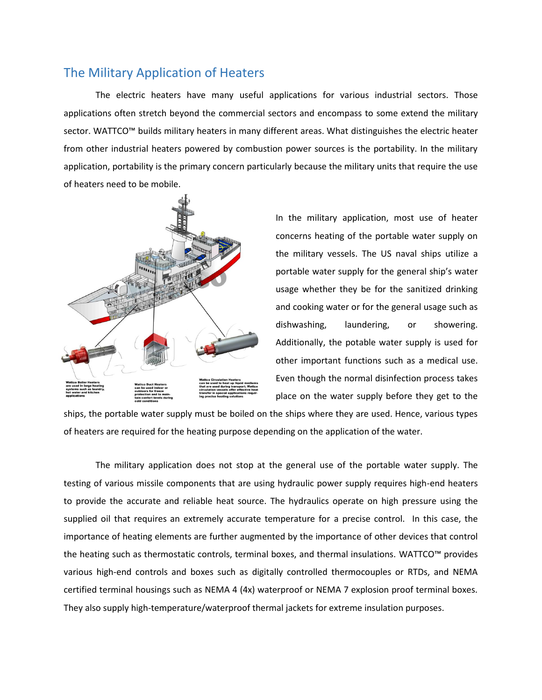## The Military Application of Heaters

The electric heaters have many useful applications for various industrial sectors. Those applications often stretch beyond the commercial sectors and encompass to some extend the military sector. WATTCO™ builds military heaters in many different areas. What distinguishes the electric heater from other industrial heaters powered by combustion power sources is the portability. In the military application, portability is the primary concern particularly because the military units that require the use of heaters need to be mobile.



In the military application, most use of heater concerns heating of the portable water supply on the military vessels. The US naval ships utilize a portable water supply for the general ship's water usage whether they be for the sanitized drinking and cooking water or for the general usage such as dishwashing, laundering, or showering. Additionally, the potable water supply is used for other important functions such as a medical use. Even though the normal disinfection process takes place on the water supply before they get to the

ships, the portable water supply must be boiled on the ships where they are used. Hence, various types of heaters are required for the heating purpose depending on the application of the water.

The military application does not stop at the general use of the portable water supply. The testing of various missile components that are using hydraulic power supply requires high-end heaters to provide the accurate and reliable heat source. The hydraulics operate on high pressure using the supplied oil that requires an extremely accurate temperature for a precise control. In this case, the importance of heating elements are further augmented by the importance of other devices that control the heating such as thermostatic controls, terminal boxes, and thermal insulations. WATTCO™ provides various high-end controls and boxes such as digitally controlled thermocouples or RTDs, and NEMA certified terminal housings such as NEMA 4 (4x) waterproof or NEMA 7 explosion proof terminal boxes. They also supply high-temperature/waterproof thermal jackets for extreme insulation purposes.